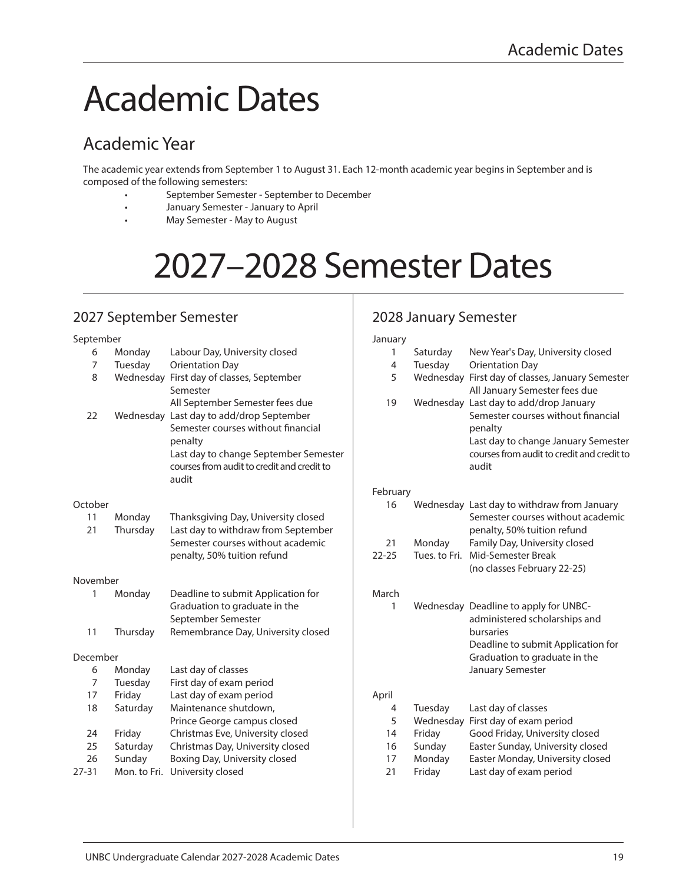# Academic Dates

# Academic Year

The academic year extends from September 1 to August 31. Each 12-month academic year begins in September and is composed of the following semesters:

- September Semester September to December
- January Semester January to April
- May Semester May to August

# 2027–2028 Semester Dates

## 2027 September Semester

#### September 6 Monday Labour Day, University closed 7 Tuesday Orientation Day 8 Wednesday First day of classes, September Semester All September Semester fees due 22 Wednesday Last day to add/drop September Semester courses without financial penalty Last day to change September Semester courses from audit to credit and credit to audit **October** 11 Monday Thanksgiving Day, University closed 21 Thursday Last day to withdraw from September Semester courses without academic penalty, 50% tuition refund November 1 Monday Deadline to submit Application for Graduation to graduate in the September Semester 11 Thursday Remembrance Day, University closed December 6 Monday Last day of classes 7 Tuesday First day of exam period 17 Friday Last day of exam period 18 Saturday Maintenance shutdown, Prince George campus closed 24 Friday Christmas Eve, University closed 25 Saturday Christmas Day, University closed 26 Sunday Boxing Day, University closed 27-31 Mon. to Fri. University closed

## 2028 January Semester

| January   |               |                                                                                                                                                                                       |
|-----------|---------------|---------------------------------------------------------------------------------------------------------------------------------------------------------------------------------------|
| 1         | Saturday      | New Year's Day, University closed                                                                                                                                                     |
| 4         | Tuesday       | <b>Orientation Day</b>                                                                                                                                                                |
| 5         |               | Wednesday First day of classes, January Semester<br>All January Semester fees due                                                                                                     |
| 19        |               | Wednesday Last day to add/drop January<br>Semester courses without financial<br>penalty<br>Last day to change January Semester<br>courses from audit to credit and credit to<br>audit |
| February  |               |                                                                                                                                                                                       |
| 16        |               | Wednesday Last day to withdraw from January<br>Semester courses without academic<br>penalty, 50% tuition refund                                                                       |
| 21        | Monday        | Family Day, University closed                                                                                                                                                         |
| $22 - 25$ | Tues, to Fri. | Mid-Semester Break                                                                                                                                                                    |
|           |               | (no classes February 22-25)                                                                                                                                                           |
| March     |               |                                                                                                                                                                                       |
| 1         |               | Wednesday Deadline to apply for UNBC-                                                                                                                                                 |
|           |               | administered scholarships and<br>bursaries                                                                                                                                            |
|           |               | Deadline to submit Application for                                                                                                                                                    |
|           |               | Graduation to graduate in the                                                                                                                                                         |
|           |               | January Semester                                                                                                                                                                      |
| April     |               |                                                                                                                                                                                       |
| 4         | Tuesday       | Last day of classes                                                                                                                                                                   |
| 5         | Wednesday     | First day of exam period                                                                                                                                                              |
| 14        | Friday        | Good Friday, University closed                                                                                                                                                        |
| 16        | Sunday        | Easter Sunday, University closed                                                                                                                                                      |
| 17        | Monday        | Easter Monday, University closed                                                                                                                                                      |
| 21        | Friday        | Last day of exam period                                                                                                                                                               |
|           |               |                                                                                                                                                                                       |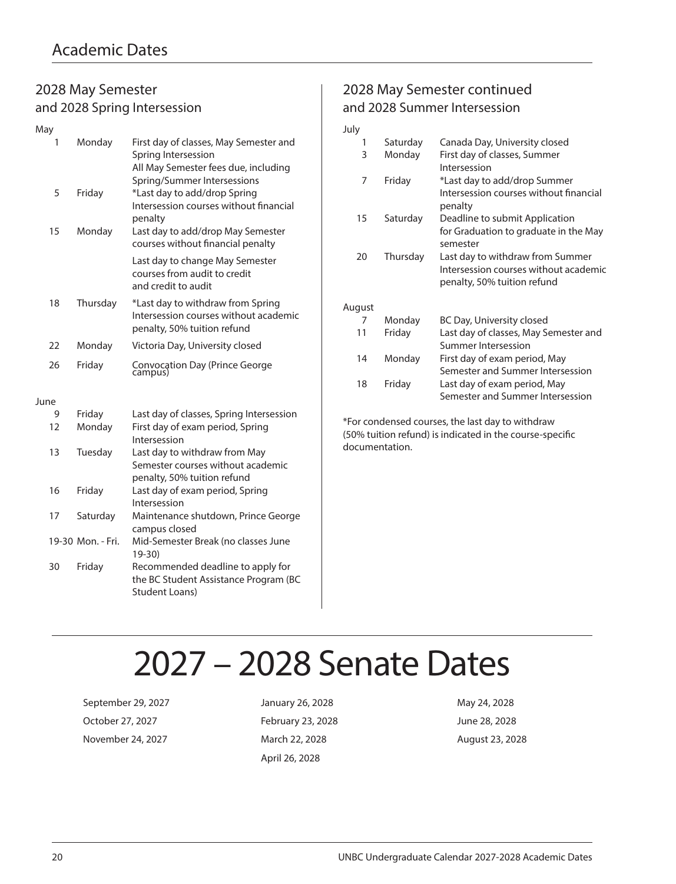### 2028 May Semester and 2028 Spring Intersession

| May  |                   |                                                                                                                                      |
|------|-------------------|--------------------------------------------------------------------------------------------------------------------------------------|
| 1    | Monday            | First day of classes, May Semester and<br>Spring Intersession<br>All May Semester fees due, including<br>Spring/Summer Intersessions |
| 5    | Friday            | *Last day to add/drop Spring<br>Intersession courses without financial<br>penalty                                                    |
| 15   | Monday            | Last day to add/drop May Semester<br>courses without financial penalty                                                               |
|      |                   | Last day to change May Semester<br>courses from audit to credit<br>and credit to audit                                               |
| 18   | Thursday          | *Last day to withdraw from Spring<br>Intersession courses without academic<br>penalty, 50% tuition refund                            |
| 22   | Monday            | Victoria Day, University closed                                                                                                      |
| 26   | Friday            | Convocation Day (Prince George<br>campus)                                                                                            |
| June |                   |                                                                                                                                      |
| 9    | Friday            | Last day of classes, Spring Intersession                                                                                             |
| 12   | Monday            | First day of exam period, Spring<br>Intersession                                                                                     |
| 13   | Tuesday           | Last day to withdraw from May<br>Semester courses without academic<br>penalty, 50% tuition refund                                    |
| 16   | Friday            | Last day of exam period, Spring<br>Intersession                                                                                      |
| 17   | Saturday          | Maintenance shutdown, Prince George<br>campus closed                                                                                 |
|      | 19-30 Mon. - Fri. | Mid-Semester Break (no classes June<br>$19 - 30$                                                                                     |
| 30   | Friday            | Recommended deadline to apply for<br>the BC Student Assistance Program (BC<br>Student Loans)                                         |

## 2028 May Semester continued and 2028 Summer Intersession

| July   |          |                                                                                                          |
|--------|----------|----------------------------------------------------------------------------------------------------------|
| 1      | Saturday | Canada Day, University closed                                                                            |
| 3      | Monday   | First day of classes, Summer<br>Intersession                                                             |
| 7      | Friday   | *Last day to add/drop Summer<br>Intersession courses without financial<br>penalty                        |
| 15     | Saturday | Deadline to submit Application<br>for Graduation to graduate in the May<br>semester                      |
| 20     | Thursday | Last day to withdraw from Summer<br>Intersession courses without academic<br>penalty, 50% tuition refund |
| August |          |                                                                                                          |
| 7      | Monday   | BC Day, University closed                                                                                |
| 11     | Friday   | Last day of classes, May Semester and<br>Summer Intersession                                             |
| 14     | Monday   | First day of exam period, May<br>Semester and Summer Intersession                                        |
| 18     | Friday   | Last day of exam period, May<br>Semester and Summer Intersession                                         |

\*For condensed courses, the last day to withdraw (50% tuition refund) is indicated in the course-specific documentation.

# 2027 – 2028 Senate Dates

September 29, 2027 **January 26, 2028** May 24, 2028 October 27, 2027 February 23, 2028 June 28, 2028 November 24, 2027 March 22, 2028 March 22, 2028 August 23, 2028

April 26, 2028